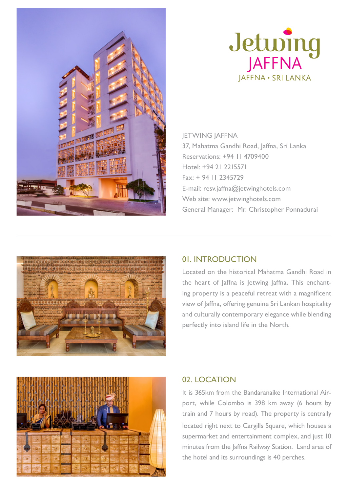



JETWING JAFFNA 37, Mahatma Gandhi Road, Jaffna, Sri Lanka Reservations: +94 11 4709400 Hotel: +94 21 2215571 Fax: + 94 11 2345729 E-mail: resv.jaffna@jetwinghotels.com Web site: www.jetwinghotels.com General Manager: Mr. Christopher Ponnadurai



# 01. INTRODUCTION

Located on the historical Mahatma Gandhi Road in the heart of Jaffna is Jetwing Jaffna. This enchanting property is a peaceful retreat with a magnificent view of Jaffna, offering genuine Sri Lankan hospitality and culturally contemporary elegance while blending perfectly into island life in the North.



# 02. LOCATION

It is 365km from the Bandaranaike International Airport, while Colombo is 398 km away (6 hours by train and 7 hours by road). The property is centrally located right next to Cargills Square, which houses a supermarket and entertainment complex, and just 10 minutes from the Jaffna Railway Station. Land area of the hotel and its surroundings is 40 perches.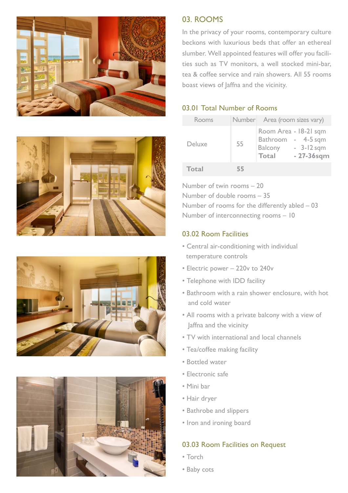







## 03. ROOMS

In the privacy of your rooms, contemporary culture beckons with luxurious beds that offer an ethereal slumber. Well appointed features will offer you facilities such as TV monitors, a well stocked mini-bar, tea & coffee service and rain showers. All 55 rooms boast views of laffna and the vicinity.

### 03.01 Total Number of Rooms

| Rooms        |    | Number Area (room sizes vary)                                                 |                               |
|--------------|----|-------------------------------------------------------------------------------|-------------------------------|
| Deluxe       | 55 | Room Area - 18-21 sqm<br>Bathroom - 4-5 sqm<br><b>Balcony</b><br><b>Total</b> | $-3-12$ sqm<br>$-27 - 36$ sqm |
| <b>Total</b> | 55 |                                                                               |                               |

Number of twin rooms – 20 Number of double rooms – 35 Number of rooms for the differently abled – 03 Number of interconnecting rooms – 10

#### 03.02 Room Facilities

- Central air-conditioning with individual temperature controls
- Electric power 220v to 240v
- Telephone with IDD facility
- Bathroom with a rain shower enclosure, with hot and cold water
- All rooms with a private balcony with a view of Jaffna and the vicinity
- TV with international and local channels
- Tea/coffee making facility
- Bottled water
- Electronic safe
- Mini bar
- Hair dryer
- Bathrobe and slippers
- Iron and ironing board

## 03.03 Room Facilities on Request

- Torch
- Baby cots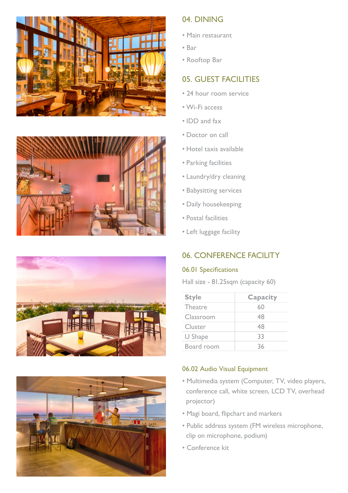







## 04. DINING

- Main restaurant
- Bar
- Rooftop Bar

# 05. GUEST FACILITIES

- 24 hour room service
- Wi-Fi access
- IDD and fax
- Doctor on call
- Hotel taxis available
- Parking facilities
- Laundry/dry cleaning
- Babysitting services
- Daily housekeeping
- Postal facilities
- Left luggage facility

# 06. CONFERENCE FACILITY

#### 06.01 Specifications

Hall size - 81.25sqm (capacity 60)

| <b>Style</b>   | Capacity |
|----------------|----------|
| <b>Theatre</b> | 60       |
| Classroom      | 48       |
| Cluster        | 48       |
| U Shape        | 33       |
| Board room     | 36       |

### 06.02 Audio Visual Equipment

- Multimedia system (Computer, TV, video players, conference call, white screen, LCD TV, overhead projector)
- Magi board, flipchart and markers
- Public address system (FM wireless microphone, clip on microphone, podium)
- Conference kit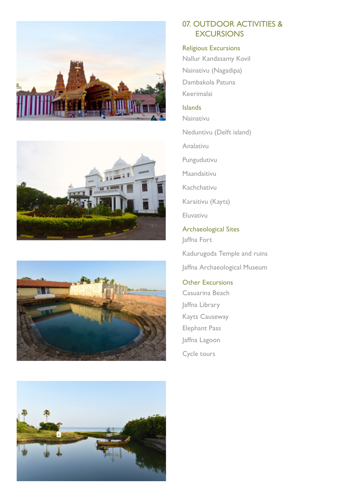







## 07. OUTDOOR ACTIVITIES & **EXCURSIONS**

#### Religious Excursions

Nallur Kandasamy Kovil Nainativu (Nagadipa) Dambakola Patuna Keerimalai

#### Islands

Nainativu

Neduntivu (Delft island)

Analativu

Pungudutivu

Maandaitivu

Kachchativu

Karaitivu (Kayts)

Eluvativu

Archaeological Sites Jaffna Fort

Kadurugoda Temple and ruins Jaffna Archaeological Museum

Other Excursions Casuarina Beach Jaffna Library Kayts Causeway Elephant Pass Jaffna Lagoon Cycle tours